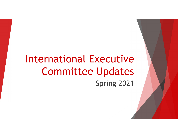## International Executive Committee Updates Spring 2021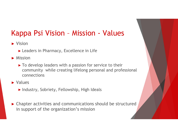# Kappa Psi Vision – Mission - Values

► Vision

► Leaders in Pharmacy, Excellence in Life

► Mission

► To develop leaders with a passion for service to their community while creating lifelong personal and professional connections

► Values

- ► Industry, Sobriety, Fellowship, High Ideals
- ► Chapter activities and communications should be structured in support of the organization's mission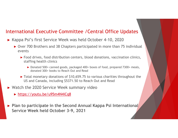► Kappa Psi's first Service Week was held October 4-10, 2020

- ► Over 700 Brothers and 38 Chapters participated in more than 75 individual events
	- ► Food drives, food distribution centers, blood donations, vaccination clinics, staffing health clinics
		- ► Donated 500+ canned goods, packaged 400+ boxes of food, prepared 7300+ meals, donated 300+ books to Reach Out and Read
	- ► Total monetary donations of \$10,659.75 to various charities throughout the US and Canada, including \$5371.50 to Reach Out and Read
- ► Watch the 2020 Service Week summary video
	- ► https://youtu.be/u95m4N4iCq8
- ► Plan to participate in the Second Annual Kappa Psi International Service Week held October 3-9, 2021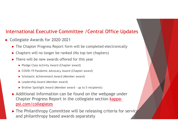- ► Collegiate Awards for 2020-2021
	- ► The Chapter Progress Report form will be completed electronically
	- ► Chapters will no longer be ranked (No top ten chapters)
	- $\blacktriangleright$  There will be new awards offered for this year
		- ► Pledge Class Activity Award (Chapter award)
		- ► COVID-19 Pandemic Advocacy Award (Chapter award)
		- ► Scholastic Achievement Award (Member award)
		- ► Leadership Award (Member award)
		-
- **National Executive Committee /Central Office Updates**<br>
regiate Awards for 2020-2021<br>
the Chapter Progress Report form will be completed electronically<br>
hapters will no longer be ranked (No top ten chapters)<br>
<br> **►** Pledge ► Additional information can be found on the webpage under Chapter Progress Report in the collegiate section kappapsi.com/collegiates
	- ► The Philanthropy Committee will be releasing criteria for service and philanthropy based awards separately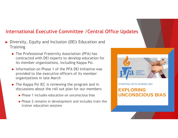- ► Diversity, Equity and Inclusion (DEI) Education and **Training** 
	- ► The Professional Fraternity Association (PFA) has contracted with DEI experts to develop education for its member organizations, including Kappa Psi.
	- ► Information on Phase 1 of the PFA DEI Initiative was provided to the executive officers of its member organizations in late March
	- ► The Kappa Psi IEC is reviewing the program and in STARTING WITH OURSELVES discussions about the roll out plan for our members **EXPLORING** 
		- ► Phase 1 includes education on unconscious bias
		- ► Phase 2 remains in development and includes train the trainer education sessions



## **UNCONSCIOUS BIAS**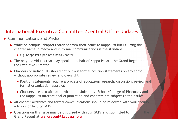### ► Communications and Media

- ► While on campus, chapters often shorten their name to Kappa Psi but utilizing the chapter name in media and in formal communications is the standard
	- ► e.g. Kappa Psi Alpha Beta Delta Chapter
- ► The only individuals that may speak on behalf of Kappa Psi are the Grand Regent and the Executive Director.
- ► Chapters or individuals should not put out formal position statements on any topic without appropriate review and oversight.
	- ► Position statements require a process of education/research, discussion, review and formal organization approval
	- ► Chapters are also affiliated with their University, School/College of Pharmacy and the Kappa Psi international organization and chapters are subject to their rules
- $\blacktriangleright$  All chapter activities and formal communications should be reviewed with your faculty advisors or faculty GCDs
- ► Questions on this issue may be discussed with your GCDs and submitted to the Grand Regent at grandregent@kappapsi.org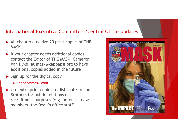- ► All chapters receive 20 print copies of THE MASK.
- ► If your chapter needs additional copies contact the Editor of THE MASK, Cameron Van Dyke, at mask@kappapsi.org to have additional copies added in the future
- ► Sign up for the digital copy
	- ► kappapsimask.com
- ► Use extra print copies to distribute to non Brothers for public relations or recruitment purposes (e.g. potential new members, the Dean's office staff)

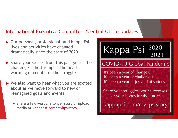- ► Our personal, professional, and Kappa Psi lives and activities have changed dramatically since the start of 2020.
- challenges, the triumphs, the heart warming moments, or the struggles.
- $\blacktriangleright$  We also want to hear what you are excited  $\blacktriangleright$  It's been a year of joy and of sadness. about as we move forward to new or reimagined goals and events.
	- ► Share a few words, a longer story or upload Kappapsi.com/mykpsistory media at kappapsi.com/mykpsistory

# **International Executive Committee /Central Office Updates**<br>
► Our personal, professional, and Kappa Psi<br>
lives and activities have changed<br>
dramatically since the start of 2020.<br>
► Share your stories from this past year

Share your struggles, your successes, or your hopes for the future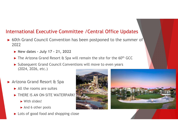- ► 60th Grand Council Convention has been postponed to the summer of 2022 Prinational Executive Committee / Central Office Upder<br>
00th Grand Council Convention has been postponed to the sum<br>
022<br>
► New dates - July 17 - 21, 2022<br>
► The Arizona Grand Resort & Spa will remain the site for the 60<sup></sup>
	-
	- ► The Arizona Grand Resort & Spa will remain the site for the 60<sup>th</sup> GCC
	- ► Subsequent Grand Council Conventions will move to even years (2024, 2026, etc.)
- ► Arizona Grand Resort & Spa
	- $\blacktriangleright$  All the rooms are suites
	- ► THERE IS AN ON-SITE WATERPARK!
		- ► With slides!
		- ► And 6 other pools
	- ► Lots of good food and shopping close



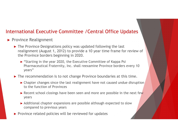- ► Province Realignment
	- ► The Province Designations policy was updated following the last realignment (August 1, 2012) to provide a 10 year time frame for review of the Province borders beginning in 2020.
		- ► "Starting in the year 2020, the Executive Committee of Kappa Psi Pharmaceutical Fraternity, Inc. shall reexamine Province borders every 10 years"
	- ► The recommendation is to not change Province boundaries at this time.
		- ► Chapter changes since the last realignment have not caused undue disruption to the function of Provinces
		- ► Recent school closings have been seen and more are possible in the next few years
		- ► Additional chapter expansions are possible although expected to slow compared to previous years
	- ► Province related policies will be reviewed for updates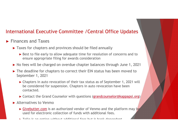- ► Finances and Taxes
	- ► Taxes for chapters and provinces should be filed annually
		- ► Best to file early to allow adequate time for resolution of concerns and to ensure appropriate filing for awards consideration
	- ► No fees will be charged on overdue chapter balances through June 1, 2021
	- ► The deadline for chapters to correct their EIN status has been moved to September 1, 2021
		- ► Chapters in auto revocation of their tax status as of September 1, 2021 will be considered for suspension. Chapters in auto revocation have been contacted.
		- ► Contact the Grand Counselor with questions (grandcounselor@kappapsi.org)
	- ► Alternatives to Venmo
		- ► Givebutter.com is an authorized vendor of Venmo and the platform may be used for electronic collection of funds with additional fees.
		- ► Zelle is an option without additional fees but is bank dependent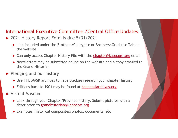- ► 2021 History Report Form is due 5/31/2021
	- ► Link included under the Brothers<Collegiate or Brothers<Graduate Tab on the website
	- ► Can only access Chapter History File with the **chapter@kappapsi.org** email
	- ► Newsletters may be submitted online on the website and a copy emailed to the Grand Historian
- ► Pledging and our history
	- ► Use THE MASK archives to have pledges research your chapter history
	- ► Editions back to 1904 may be found at **kappapsiarchives.org**
- ► Virtual Museum
	- ► Look through your Chapter/Province history. Submit pictures with a description to grandhistorian@kappapsi.org
	- ► Examples: historical composites/photos, documents, etc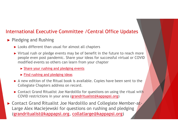- ► Pledging and Rushing
	- ► Looks different than usual for almost all chapters
	- ► Virtual rush or pledge events may be of benefit in the future to reach more people even post pandemic. Share your ideas for successful virtual or COVID modified events so others can learn from your chapter
		- ► Share your rushing and pledging events
		- ► Find rushing and pledging ideas
	- ► A new edition of the Ritual book is available. Copies have been sent to the Collegiate Chapters address on record.
	- ► Contact Grand Ritualist Joe Nardolillo for questions on using the ritual with COVID restrictions in your area (grandritualist@kappapsi.org)
- ► Contact Grand Ritualist Joe Nardolillo and Collegiate Member-at-Large Alex Maciejewski for questions on rushing and pledging (grandritualist@kappapsi.org, collatlarge@kappapsi.org)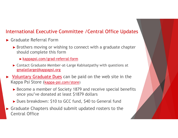- ► Graduate Referral Form
	- ► Brothers moving or wishing to connect with a graduate chapter should complete this form
		- ► kappapsi.com/grad-referral-form
	- ► Contact Graduate Member-at-Large Kabisatpathy with questions at gmalatlarge@kappapsi.org
- ► Voluntary Graduate Dues can be paid on the web site in the Kappa Psi Store (kappa-psi.com/store)
	- ► Become a member of Society 1879 and receive special benefits once you've donated at least \$1879 dollars
	- ► Dues breakdown: \$10 to GCC fund, \$40 to General fund
- ► Graduate Chapters should submit updated rosters to the Central Office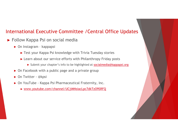## International Executive Committee /Central Office Updates Paria Committee / Central Office<br>
Test your Kappa Psi on social media<br>
→ On Instagram - kappapsi<br>
→ Test your Kappa Psi knowledge with Trivia Tuesday stories<br>
→ Learn about our service efforts with Philanthropy Friday po Fractional Executive Committee / Central Off<br>
• On Instagram - kappapsi<br>
• Test your Kappa Psi knowledge with Trivia Tuesday storic<br>
• Learn about our service efforts with Philanthropy Friday<br>
• Submit your chapter's info Friendal Executive Committee / Central Office Uperal office Uperal Collow Kappa Psi on social media<br>
→ On Instagram - kappapsi<br>
→ Test your Kappa Psi knowledge with Trivia Tuesday stories<br>
→ Learn about our service effort

- ► Follow Kappa Psi on social media
	- - ► Test your Kappa Psi knowledge with Trivia Tuesday stories
		- ► Learn about our service efforts with Philanthropy Friday posts
			- ► Submit your chapter's info to be highlighted at socialmedia@kappapsi.org
	- ► On Facebook with a public page and a private group
	-
	- - ► www.youtube.com/channel/UCjiMNsiacLpc7dkTzO9SRFQ